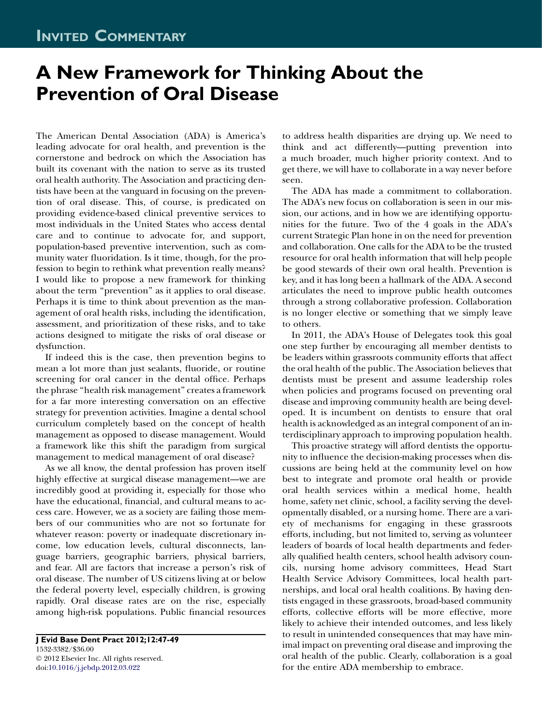## A New Framework for Thinking About the Prevention of Oral Disease

The American Dental Association (ADA) is America's leading advocate for oral health, and prevention is the cornerstone and bedrock on which the Association has built its covenant with the nation to serve as its trusted oral health authority. The Association and practicing dentists have been at the vanguard in focusing on the prevention of oral disease. This, of course, is predicated on providing evidence-based clinical preventive services to most individuals in the United States who access dental care and to continue to advocate for, and support, population-based preventive intervention, such as community water fluoridation. Is it time, though, for the profession to begin to rethink what prevention really means? I would like to propose a new framework for thinking about the term "prevention" as it applies to oral disease. Perhaps it is time to think about prevention as the management of oral health risks, including the identification, assessment, and prioritization of these risks, and to take actions designed to mitigate the risks of oral disease or dysfunction.

If indeed this is the case, then prevention begins to mean a lot more than just sealants, fluoride, or routine screening for oral cancer in the dental office. Perhaps the phrase ''health risk management'' creates a framework for a far more interesting conversation on an effective strategy for prevention activities. Imagine a dental school curriculum completely based on the concept of health management as opposed to disease management. Would a framework like this shift the paradigm from surgical management to medical management of oral disease?

As we all know, the dental profession has proven itself highly effective at surgical disease management—we are incredibly good at providing it, especially for those who have the educational, financial, and cultural means to access care. However, we as a society are failing those members of our communities who are not so fortunate for whatever reason: poverty or inadequate discretionary income, low education levels, cultural disconnects, language barriers, geographic barriers, physical barriers, and fear. All are factors that increase a person's risk of oral disease. The number of US citizens living at or below the federal poverty level, especially children, is growing rapidly. Oral disease rates are on the rise, especially among high-risk populations. Public financial resources

J Evid Base Dent Pract 2012;12:47-49 1532-3382/\$36.00 2012 Elsevier Inc. All rights reserved. doi[:10.1016/j.jebdp.2012.03.022](http://dx.doi.org/10.1016/j.jebdp.2012.03.022)

to address health disparities are drying up. We need to think and act differently—putting prevention into a much broader, much higher priority context. And to get there, we will have to collaborate in a way never before seen.

The ADA has made a commitment to collaboration. The ADA's new focus on collaboration is seen in our mission, our actions, and in how we are identifying opportunities for the future. Two of the 4 goals in the ADA's current Strategic Plan hone in on the need for prevention and collaboration. One calls for the ADA to be the trusted resource for oral health information that will help people be good stewards of their own oral health. Prevention is key, and it has long been a hallmark of the ADA. A second articulates the need to improve public health outcomes through a strong collaborative profession. Collaboration is no longer elective or something that we simply leave to others.

In 2011, the ADA's House of Delegates took this goal one step further by encouraging all member dentists to be leaders within grassroots community efforts that affect the oral health of the public. The Association believes that dentists must be present and assume leadership roles when policies and programs focused on preventing oral disease and improving community health are being developed. It is incumbent on dentists to ensure that oral health is acknowledged as an integral component of an interdisciplinary approach to improving population health.

This proactive strategy will afford dentists the opportunity to influence the decision-making processes when discussions are being held at the community level on how best to integrate and promote oral health or provide oral health services within a medical home, health home, safety net clinic, school, a facility serving the developmentally disabled, or a nursing home. There are a variety of mechanisms for engaging in these grassroots efforts, including, but not limited to, serving as volunteer leaders of boards of local health departments and federally qualified health centers, school health advisory councils, nursing home advisory committees, Head Start Health Service Advisory Committees, local health partnerships, and local oral health coalitions. By having dentists engaged in these grassroots, broad-based community efforts, collective efforts will be more effective, more likely to achieve their intended outcomes, and less likely to result in unintended consequences that may have minimal impact on preventing oral disease and improving the oral health of the public. Clearly, collaboration is a goal for the entire ADA membership to embrace.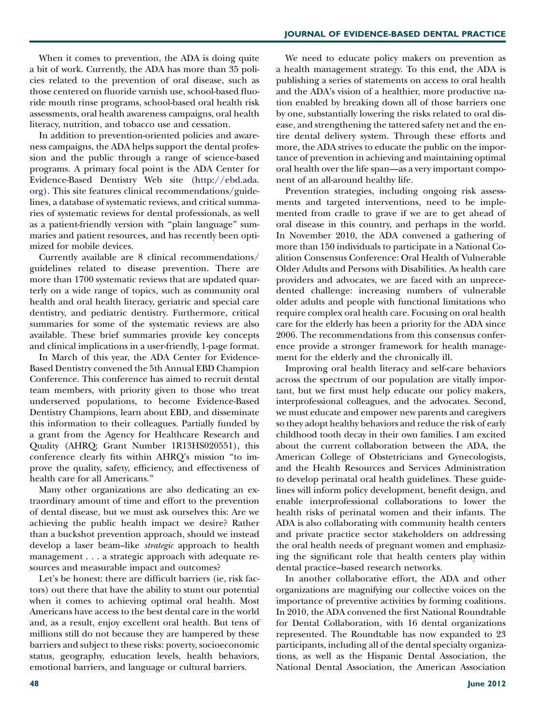When it comes to prevention, the ADA is doing quite a bit of work. Currently, the ADA has more than 35 policies related to the prevention of oral disease, such as those centered on fluoride varnish use, school-based fluoride mouth rinse programs, school-based oral health risk assessments, oral health awareness campaigns, oral health literacy, nutrition, and tobacco use and cessation.

In addition to prevention-oriented policies and awareness campaigns, the ADA helps support the dental profession and the public through a range of science-based programs. A primary focal point is the ADA Center for Evidence-Based Dentistry Web site ([http://ebd.ada.](http://ebd.ada.org) [org\)](http://ebd.ada.org). This site features clinical recommendations/guidelines, a database of systematic reviews, and critical summaries of systematic reviews for dental professionals, as well as a patient-friendly version with ''plain language'' summaries and patient resources, and has recently been optimized for mobile devices.

Currently available are 8 clinical recommendations/ guidelines related to disease prevention. There are more than 1700 systematic reviews that are updated quarterly on a wide range of topics, such as community oral health and oral health literacy, geriatric and special care dentistry, and pediatric dentistry. Furthermore, critical summaries for some of the systematic reviews are also available. These brief summaries provide key concepts and clinical implications in a user-friendly, 1-page format.

In March of this year, the ADA Center for Evidence-Based Dentistry convened the 5th Annual EBD Champion Conference. This conference has aimed to recruit dental team members, with priority given to those who treat underserved populations, to become Evidence-Based Dentistry Champions, learn about EBD, and disseminate this information to their colleagues. Partially funded by a grant from the Agency for Healthcare Research and Quality (AHRQ; Grant Number 1R13HS020551), this conference clearly fits within AHRQ's mission ''to improve the quality, safety, efficiency, and effectiveness of health care for all Americans.''

Many other organizations are also dedicating an extraordinary amount of time and effort to the prevention of dental disease, but we must ask ourselves this: Are we achieving the public health impact we desire? Rather than a buckshot prevention approach, should we instead develop a laser beam–like strategic approach to health management ...a strategic approach with adequate resources and measurable impact and outcomes?

Let's be honest: there are difficult barriers (ie, risk factors) out there that have the ability to stunt our potential when it comes to achieving optimal oral health. Most Americans have access to the best dental care in the world and, as a result, enjoy excellent oral health. But tens of millions still do not because they are hampered by these barriers and subject to these risks: poverty, socioeconomic status, geography, education levels, health behaviors, emotional barriers, and language or cultural barriers.

We need to educate policy makers on prevention as a health management strategy. To this end, the ADA is publishing a series of statements on access to oral health and the ADA's vision of a healthier, more productive nation enabled by breaking down all of those barriers one by one, substantially lowering the risks related to oral disease, and strengthening the tattered safety net and the entire dental delivery system. Through these efforts and more, the ADA strives to educate the public on the importance of prevention in achieving and maintaining optimal oral health over the life span—as a very important component of an all-around healthy life.

Prevention strategies, including ongoing risk assessments and targeted interventions, need to be implemented from cradle to grave if we are to get ahead of oral disease in this country, and perhaps in the world. In November 2010, the ADA convened a gathering of more than 150 individuals to participate in a National Coalition Consensus Conference: Oral Health of Vulnerable Older Adults and Persons with Disabilities. As health care providers and advocates, we are faced with an unprecedented challenge: increasing numbers of vulnerable older adults and people with functional limitations who require complex oral health care. Focusing on oral health care for the elderly has been a priority for the ADA since 2006. The recommendations from this consensus conference provide a stronger framework for health management for the elderly and the chronically ill.

Improving oral health literacy and self-care behaviors across the spectrum of our population are vitally important, but we first must help educate our policy makers, interprofessional colleagues, and the advocates. Second, we must educate and empower new parents and caregivers so they adopt healthy behaviors and reduce the risk of early childhood tooth decay in their own families. I am excited about the current collaboration between the ADA, the American College of Obstetricians and Gynecologists, and the Health Resources and Services Administration to develop perinatal oral health guidelines. These guidelines will inform policy development, benefit design, and enable interprofessional collaborations to lower the health risks of perinatal women and their infants. The ADA is also collaborating with community health centers and private practice sector stakeholders on addressing the oral health needs of pregnant women and emphasizing the significant role that health centers play within dental practice–based research networks.

In another collaborative effort, the ADA and other organizations are magnifying our collective voices on the importance of preventive activities by forming coalitions. In 2010, the ADA convened the first National Roundtable for Dental Collaboration, with 16 dental organizations represented. The Roundtable has now expanded to 23 participants, including all of the dental specialty organizations, as well as the Hispanic Dental Association, the National Dental Association, the American Association